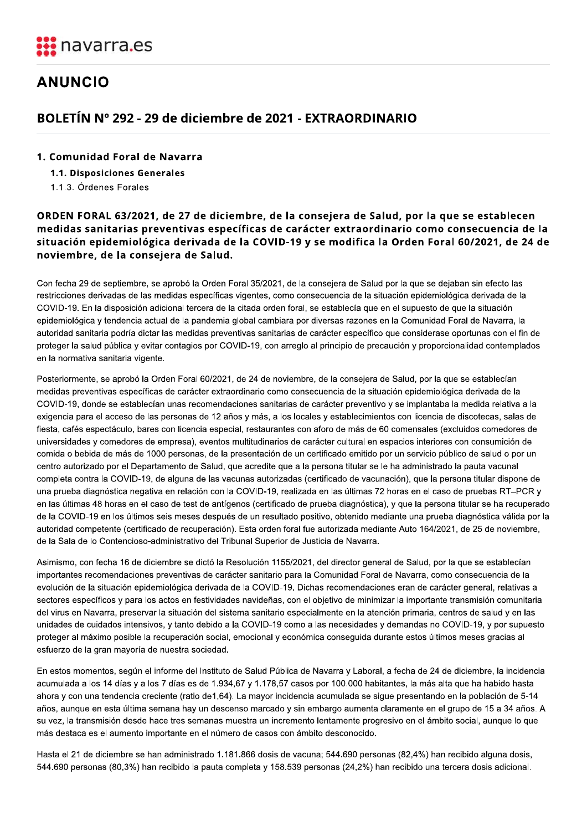

## **ANUNCIO**

## BOLETIN N° 292 - 29 de diciembre de 2021 - EXTRAORDINARIO

1.1.3. Órdenes Forales

# **DLETÍN Nº 292 - 29 de diciembre d<br>Comunidad Foral de Navarra<br>1.1. Disposiciones Generales<br>1.1.3. Órdenes Forales<br>DEN FORAL 63/2021, de 27 de diciemb<br>edidas sanitarias preventivas específic<br>uación epidemiológica derivada d** ANUNCIO<br>
BOLETÍN Nº 292 - 29 de diciembre de 2021<br>
1. Comunidad Foral de Navarra<br>
1.1. Disposiciones Generales<br>
1.1.3. Órdenes Forales<br>
ORDEN FORAL 63/2021, de 27 de diciembre, de la<br>
medidas sanitarias preventivas específ ORDEN FORAL 63/2021, de 27 de diciembre, de la consejera de Salud, por la que se establecen<br>medidas sanitarias preventivas específicas de carácter extraordinario como consecuencia de la munidad Foral de Navarra<br>
3. Órdenes Forales<br>
3. Órdenes Forales<br>
18. Órdenes Forales<br>
18. Órdenes Forales<br>
18. Órdenes Forales<br>
18. Ordenes Forales<br>
18. Ordenes Forales<br>
18. Ordenes Forales<br>
18. Sanitarias preventivas esp

Con fecha 29 de septiembre, se aprobó la Orden Foral 35/2021, de la consejera de Salud por la que se dejaban sin efecto las restricciones derivadas de las medidas específicas vigentes, como consecuencia de la situación epidemiológica derivada de la COVID-19. En la disposición adicional tercera de la citada orden foral, se establecía que en el supuesto de que la situación epidemiológica y tendencia actual de la pandemia global cambiara por diversas razones en la Comunidad Foral de Navarra, la autoridad sanitaria podría dictar las medidas preventivas sanitarias de carácter específico que considerase oportunas con el fin de proteger la salud pública y evitar contagios por COVID-19, con arreglo al principio de precaución y proporcionalidad contemplados en la normativa sanitaria vigente. 1. Comunidad Foral de Navarra<br>
1.1.3. Ordenes Forales<br>
1.1.3. Ordenes Forales<br>
ORDEN FORAL 63/2021, de 27 de diciembre, de la consejera de Salud, por la que se establecen<br>
medidas sanitarias preventivas específicas de cará 1. Comunidad Foral de Navarra<br>
1.1.3. Ordenes Forales<br>
1.1.3. Ordenes Forales<br>
1.1.3. Ordenes Forales<br>
2.2021, de 27 de diciembre, de la consejera de Salud, por la que se establecen<br>
medidas sanitarias preventivas específi 1.1. Disposiciones Generales<br>
1.1.3. Órdenes Forales<br> **ORDEN FORAL 63/2021, de 27 de diciembre, de la c<br>
medidas sanitarias preventivas específicas de cara<br>
situación epidemiológica derivada de la COVID-19<br>
noviembre, de** 

> Posteriormente, se aprobó la Orden Foral 60/2021, de 24 de noviembre, de la consejera de Salud, por la que se establecían medidas preventivas específicas de carácter extraordinario como consecuencia de la situación epidemiológica derivada de la COVID-19, donde se establecían unas recomendaciones sanitarias de carácter preventivo y se implantaba la medida relativa a la exigencia para el acceso de las personas de 12 años y más, a los locales y establecimientos con licencia de discotecas, salas de fiesta, cafés espectáculo, bares con licencia especial, restaurantes con aforo de más de 60 comensales (excluidos comedores de universidades y comedores de empresa), eventos multitudinarios de carácter cultural en espacios interiores con consumición de comida o bebida de más de 1000 personas, de la presentación de un certificado emitido por un servicio público de salud o por un centro autorizado por el Departamento de Salud, que acredite que a la persona titular se le ha administrado la pauta vacunal completa contra la COVID-19, de alguna de las vacunas autorizadas (certificado de vacunación), que la persona titular dispone de una prueba diagnóstica negativa en relación con la COVID-19, realizada en las últimas 72 horas en el caso de pruebas RT-PCR y en las últimas 48 horas en el caso de test de antígenos (certificado de prueba diagnóstica), y que la persona titular se ha recuperado de la COVID-19 en los últimos seis meses después de un resultado positivo, obtenido mediante una prueba diagnóstica válida por la autoridad competente (certificado de recuperación). Esta orden foral fue autorizada mediante Auto 164/2021, de 25 de noviembre, de la Sala de lo Contencioso-administrativo del Tribunal Superior de Justicia de Navarra.

Asimismo, con fecha 16 de diciembre se dictó la Resolución 1155/2021, del director general de Salud, por la que se establecían importantes recomendaciones preventivas de carácter sanitario para la Comunidad Foral de Navarra, como consecuencia de la evolución de la situación epidemiológica derivada de la COVID-19. Dichas recomendaciones eran de carácter general, relativas a sectores específicos y para los actos en festividades navideñas, con el objetivo de minimizar la importante transmisión comunitaria del virus en Navarra, preservar la situación del sistema sanitario especialmente en la atención primaria, centros de salud y en las unidades de cuidados intensivos, y tanto debido a la COVID-19 como a las necesidades y demandas no COVID-19, y por supuesto proteger al máximo posible la recuperación social, emocional y económica conseguida durante estos últimos meses gracias al esfuerzo de la gran mayoría de nuestra sociedad.

En estos momentos, según el informe del Instituto de Salud Pública de Navarra y Laboral, a fecha de 24 de diciembre, la incidencia acumulada a los 14 días y a los 7 días es de 1.934,67 y 1.178,57 casos por 100.000 habitantes, la más alta que ha habido hasta ahora y con una tendencia creciente (ratio de1,64). La mayor incidencia acumulada se sigue presentando en la población de 5-14 años, aunque en esta última semana hay un descenso marcado y sin embargo aumenta claramente en el grupo de 15 a 34 años. A su vez, la transmisión desde hace tres semanas muestra un incremento lentamente progresivo en el ámbito social, aunque lo que más destaca es el aumento importante en el número de casos con ámbito desconocido.

Hasta el 21 de diciembre se han administrado 1.181.866 dosis de vacuna; 544.690 personas (82,4%) han recibido alguna dosis, 544.690 personas (80,3%) han recibido la pauta completa y 158.539 personas (24,2%) han recibido una tercera dosis adicional.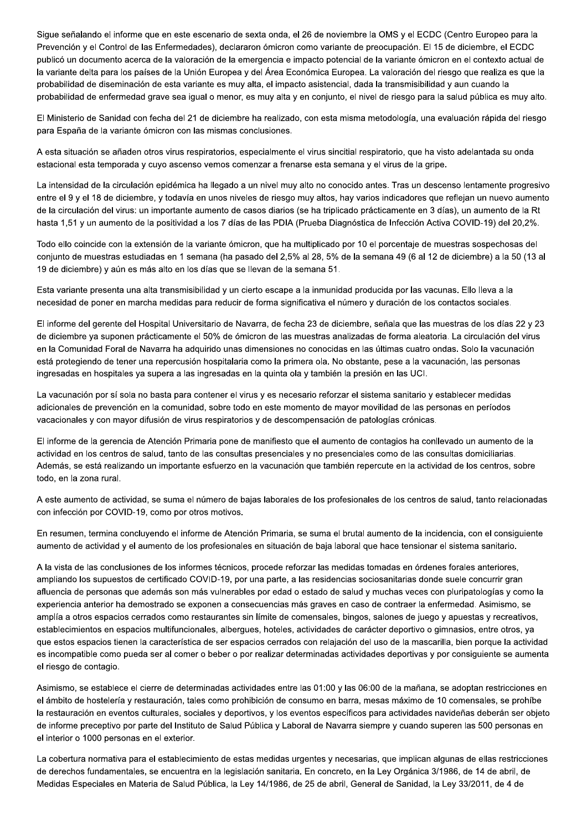Sigue señalando el informe que en este escenario de sexta onda, el 26 de noviembre la OMS y el ECDC (Centro Europeo para la Prevención y el Control de las Enfermedades), declararon ómicron como variante de preocupación. El 15 de diciembre, el ECDC publicó un documento acerca de la valoración de la emergencia e impacto potencial de la variante ómicron en el contexto actual de la variante delta para los países de la Unión Europea y del Área Económica Europea. La valoración del riesgo que realiza es que la probabilidad de diseminación de esta variante es muy alta, el impacto asistencial, dada la transmisibilidad y aun cuando la probabilidad de enfermedad grave sea igual o menor, es muy alta y en conjunto, el nivel de riesgo para la salud pública es muy alto.

El Ministerio de Sanidad con fecha del 21 de diciembre ha realizado, con esta misma metodología, una evaluación rápida del riesgo para España de la variante ómicron con las mismas conclusiones.

A esta situación se añaden otros virus respiratorios, especialmente el virus sincitial respiratorio, que ha visto adelantada su onda estacional esta temporada y cuyo ascenso vemos comenzar a frenarse esta semana y el virus de la gripe.

La intensidad de la circulación epidémica ha llegado a un nivel muy alto no conocido antes. Tras un descenso lentamente progresivo entre el 9 y el 18 de diciembre, y todavía en unos niveles de riesgo muy altos, hay varios indicadores que reflejan un nuevo aumento de la circulación del virus: un importante aumento de casos diarios (se ha triplicado prácticamente en 3 días), un aumento de la Rt hasta 1,51 y un aumento de la positividad a los 7 días de las PDIA (Prueba Diagnóstica de Infección Activa COVID-19) del 20,2%.

Todo ello coincide con la extensión de la variante ómicron, que ha multiplicado por 10 el porcentaje de muestras sospechosas del conjunto de muestras estudiadas en 1 semana (ha pasado del 2,5% al 28, 5% de la semana 49 (6 al 12 de diciembre) a la 50 (13 al 19 de diciembre) y aún es más alto en los días que se llevan de la semana 51.

Esta variante presenta una alta transmisibilidad y un cierto escape a la inmunidad producida por las vacunas. Ello lleva a la necesidad de poner en marcha medidas para reducir de forma significativa el número y duración de los contactos sociales.

El informe del gerente del Hospital Universitario de Navarra, de fecha 23 de diciembre, señala que las muestras de los días 22 y 23 de diciembre ya suponen prácticamente el 50% de ómicron de las muestras analizadas de forma aleatoria. La circulación del virus en la Comunidad Foral de Navarra ha adquirido unas dimensiones no conocidas en las últimas cuatro ondas. Solo la vacunación está protegiendo de tener una repercusión hospitalaria como la primera ola. No obstante, pese a la vacunación, las personas ingresadas en hospitales ya supera a las ingresadas en la quinta ola y también la presión en las UCI.

La vacunación por sí sola no basta para contener el virus y es necesario reforzar el sistema sanitario y establecer medidas adicionales de prevención en la comunidad, sobre todo en este momento de mayor movilidad de las personas en períodos vacacionales y con mayor difusión de virus respiratorios y de descompensación de patologías crónicas.

El informe de la gerencia de Atención Primaria pone de manifiesto que el aumento de contagios ha conllevado un aumento de la actividad en los centros de salud, tanto de las consultas presenciales y no presenciales como de las consultas domiciliarias. Además, se está realizando un importante esfuerzo en la vacunación que también repercute en la actividad de los centros, sobre todo, en la zona rural.

A este aumento de actividad, se suma el número de bajas laborales de los profesionales de los centros de salud, tanto relacionadas con infección por COVID-19, como por otros motivos.

En resumen, termina concluyendo el informe de Atención Primaria, se suma el brutal aumento de la incidencia, con el consiguiente aumento de actividad y el aumento de los profesionales en situación de baja laboral que hace tensionar el sistema sanitario.

A la vista de las conclusiones de los informes técnicos, procede reforzar las medidas tomadas en órdenes forales anteriores, ampliando los supuestos de certificado COVID-19, por una parte, a las residencias sociosanitarias donde suele concurrir gran afluencia de personas que además son más vulnerables por edad o estado de salud y muchas veces con pluripatologías y como la experiencia anterior ha demostrado se exponen a consecuencias más graves en caso de contraer la enfermedad. Asimismo, se amplía a otros espacios cerrados como restaurantes sin límite de comensales, bingos, salones de juego y apuestas y recreativos, establecimientos en espacios multifuncionales, albergues, hoteles, actividades de carácter deportivo o gimnasios, entre otros, ya que estos espacios tienen la característica de ser espacios cerrados con relajación del uso de la mascarilla, bien porque la actividad es incompatible como pueda ser al comer o beber o por realizar determinadas actividades deportivas y por consiguiente se aumenta el riesgo de contagio.

Asimismo, se establece el cierre de determinadas actividades entre las 01:00 y las 06:00 de la mañana, se adoptan restricciones en el ámbito de hostelería y restauración, tales como prohibición de consumo en barra, mesas máximo de 10 comensales, se prohíbe la restauración en eventos culturales, sociales y deportivos, y los eventos específicos para actividades navideñas deberán ser objeto de informe preceptivo por parte del Instituto de Salud Pública y Laboral de Navarra siempre y cuando superen las 500 personas en el interior o 1000 personas en el exterior.

La cobertura normativa para el establecimiento de estas medidas urgentes y necesarias, que implican algunas de ellas restricciones de derechos fundamentales, se encuentra en la legislación sanitaria. En concreto, en la Ley Orgánica 3/1986, de 14 de abril, de Medidas Especiales en Materia de Salud Pública, la Ley 14/1986, de 25 de abril, General de Sanidad, la Ley 33/2011, de 4 de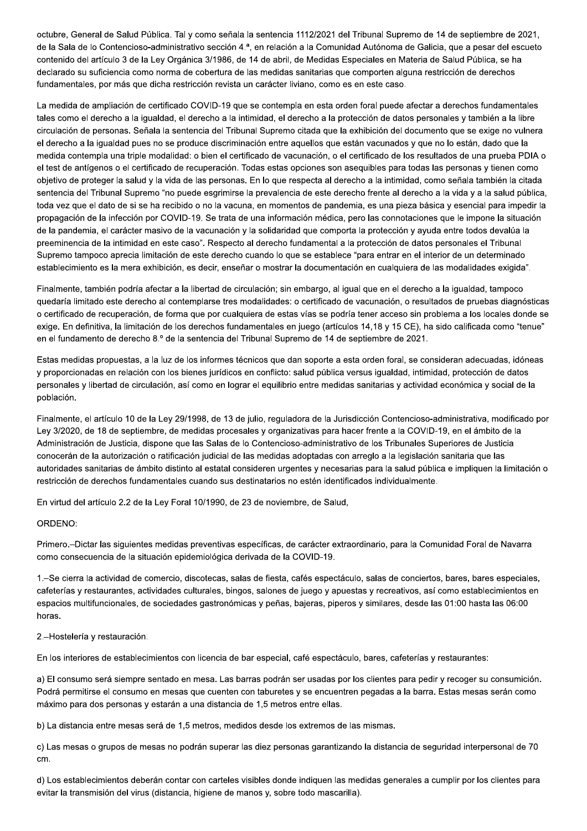octubre, General de Salud Pública. Tal y como señala la sentencia 1112/2021 del Tribunal Supremo de 14 de septiembre de 2021, de la Sala de lo Contencioso-administrativo sección 4.ª, en relación a la Comunidad Autónoma de Galicia, que a pesar del escueto contenido del artículo 3 de la Ley Orgánica 3/1986, de 14 de abril, de Medidas Especiales en Materia de Salud Pública, se ha declarado su suficiencia como norma de cobertura de las medidas sanitarias que comporten alguna restricción de derechos fundamentales, por más que dicha restricción revista un carácter liviano, como es en este caso.

La medida de ampliación de certificado COVID-19 que se contempla en esta orden foral puede afectar a derechos fundamentales tales como el derecho a la igualdad, el derecho a la intimidad, el derecho a la protección de datos personales y también a la libre circulación de personas. Señala la sentencia del Tribunal Supremo citada que la exhibición del documento que se exige no vulnera el derecho a la igualdad pues no se produce discriminación entre aquellos que están vacunados y que no lo están, dado que la medida contempla una triple modalidad: o bien el certificado de vacunación, o el certificado de los resultados de una prueba PDIA o el test de antígenos o el certificado de recuperación. Todas estas opciones son asequibles para todas las personas y tienen como obietivo de proteger la salud y la vida de las personas. En lo que respecta al derecho a la intimidad, como señala también la citada sentencia del Tribunal Supremo "no puede esgrimirse la prevalencia de este derecho frente al derecho a la vida y a la salud pública, toda vez que el dato de si se ha recibido o no la vacuna, en momentos de pandemia, es una pieza básica y esencial para impedir la propagación de la infección por COVID-19. Se trata de una información médica, pero las connotaciones que le impone la situación de la pandemia, el carácter masivo de la vacunación y la solidaridad que comporta la protección y ayuda entre todos devalúa la preeminencia de la intimidad en este caso". Respecto al derecho fundamental a la protección de datos personales el Tribunal Supremo tampoco aprecia limitación de este derecho cuando lo que se establece "para entrar en el interior de un determinado establecimiento es la mera exhibición, es decir, enseñar o mostrar la documentación en cualquiera de las modalidades exigida".

Finalmente, también podría afectar a la libertad de circulación; sin embargo, al igual que en el derecho a la igualdad, tampoco quedaría limitado este derecho al contemplarse tres modalidades: o certificado de vacunación, o resultados de pruebas diagnósticas o certificado de recuperación, de forma que por cualquiera de estas vías se podría tener acceso sin problema a los locales donde se exige. En definitiva, la limitación de los derechos fundamentales en juego (artículos 14,18 y 15 CE), ha sido calificada como "tenue" en el fundamento de derecho 8.º de la sentencia del Tribunal Supremo de 14 de septiembre de 2021.

Estas medidas propuestas, a la luz de los informes técnicos que dan soporte a esta orden foral, se consideran adecuadas, idóneas y proporcionadas en relación con los bienes jurídicos en conflicto: salud pública versus igualdad, intimidad, protección de datos personales y libertad de circulación, así como en lograr el equilibrio entre medidas sanitarias y actividad económica y social de la población.

Finalmente, el artículo 10 de la Ley 29/1998, de 13 de julio, reguladora de la Jurisdicción Contencioso-administrativa, modificado por Ley 3/2020, de 18 de septiembre, de medidas procesales y organizativas para hacer frente a la COVID-19, en el ámbito de la Administración de Justicia, dispone que las Salas de lo Contencioso-administrativo de los Tribunales Superiores de Justicia conocerán de la autorización o ratificación judicial de las medidas adoptadas con arreglo a la legislación sanitaria que las autoridades sanitarias de ámbito distinto al estatal consideren urgentes y necesarias para la salud pública e impliquen la limitación o restricción de derechos fundamentales cuando sus destinatarios no estén identificados individualmente.

En virtud del artículo 2.2 de la Ley Foral 10/1990, de 23 de noviembre, de Salud,

### ORDENO:

Primero.-Dictar las siguientes medidas preventivas específicas, de carácter extraordinario, para la Comunidad Foral de Navarra como consecuencia de la situación epidemiológica derivada de la COVID-19.

1.-Se cierra la actividad de comercio, discotecas, salas de fiesta, cafés espectáculo, salas de conciertos, bares, bares especiales, cafeterías y restaurantes, actividades culturales, bingos, salones de juego y apuestas y recreativos, así como establecimientos en espacios multifuncionales, de sociedades gastronómicas y peñas, bajeras, piperos y similares, desde las 01:00 hasta las 06:00 horas

2.-Hostelería y restauración.

En los interiores de establecimientos con licencia de bar especial, café espectáculo, bares, cafeterías y restaurantes:

a) El consumo será siempre sentado en mesa. Las barras podrán ser usadas por los clientes para pedir y recoger su consumición. Podrá permitirse el consumo en mesas que cuenten con taburetes y se encuentren pegadas a la barra. Estas mesas serán como máximo para dos personas y estarán a una distancia de 1,5 metros entre ellas.

b) La distancia entre mesas será de 1,5 metros, medidos desde los extremos de las mismas.

c) Las mesas o grupos de mesas no podrán superar las diez personas garantizando la distancia de seguridad interpersonal de 70 cm.

d) Los establecimientos deberán contar con carteles visibles donde indiquen las medidas generales a cumplir por los clientes para evitar la transmisión del virus (distancia, higiene de manos y, sobre todo mascarilla).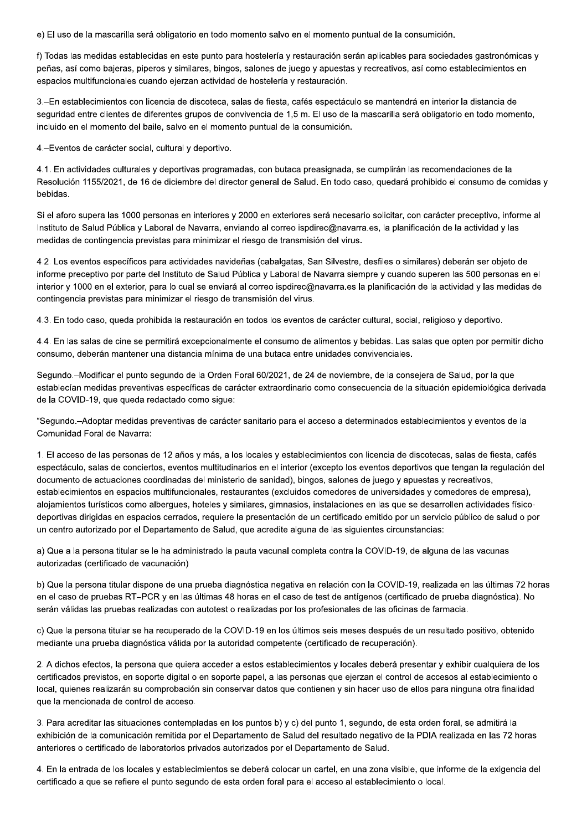e) El uso de la mascarilla será obligatorio en todo momento salvo en el momento puntual de la consumición.

f) Todas las medidas establecidas en este punto para hostelería y restauración serán aplicables para sociedades gastronómicas y peñas, así como bajeras, piperos y similares, bingos, salones de juego y apuestas y recreativos, así como establecimientos en espacios multifuncionales cuando ejerzan actividad de hostelería y restauración.

3.-En establecimientos con licencia de discoteca, salas de fiesta, cafés espectáculo se mantendrá en interior la distancia de seguridad entre clientes de diferentes grupos de convivencia de 1,5 m. El uso de la mascarilla será obligatorio en todo momento, incluido en el momento del baile, salvo en el momento puntual de la consumición.

4.-Eventos de carácter social, cultural y deportivo.

4.1. En actividades culturales y deportivas programadas, con butaca preasignada, se cumplirán las recomendaciones de la Resolución 1155/2021, de 16 de diciembre del director general de Salud. En todo caso, quedará prohibido el consumo de comidas y bebidas.

Si el aforo supera las 1000 personas en interiores y 2000 en exteriores será necesario solicitar, con carácter preceptivo, informe al Instituto de Salud Pública y Laboral de Navarra, enviando al correo ispdirec@navarra.es, la planificación de la actividad y las medidas de contingencia previstas para minimizar el riesgo de transmisión del virus.

4.2. Los eventos específicos para actividades navideñas (cabalgatas, San Silvestre, desfiles o similares) deberán ser objeto de informe preceptivo por parte del Instituto de Salud Pública y Laboral de Navarra siempre y cuando superen las 500 personas en el interior y 1000 en el exterior, para lo cual se enviará al correo ispdirec@navarra.es la planificación de la actividad y las medidas de contingencia previstas para minimizar el riesgo de transmisión del virus.

4.3. En todo caso, queda prohibida la restauración en todos los eventos de carácter cultural, social, religioso y deportivo.

4.4. En las salas de cine se permitirá excepcionalmente el consumo de alimentos y bebidas. Las salas que opten por permitir dicho consumo, deberán mantener una distancia mínima de una butaca entre unidades convivenciales.

Segundo.–Modificar el punto segundo de la Orden Foral 60/2021, de 24 de noviembre, de la consejera de Salud, por la que establecían medidas preventivas específicas de carácter extraordinario como consecuencia de la situación epidemiológica derivada de la COVID-19, que queda redactado como sigue:

"Segundo.-Adoptar medidas preventivas de carácter sanitario para el acceso a determinados establecimientos y eventos de la Comunidad Foral de Navarra:

1. El acceso de las personas de 12 años y más, a los locales y establecimientos con licencia de discotecas, salas de fiesta, cafés espectáculo, salas de conciertos, eventos multitudinarios en el interior (excepto los eventos deportivos que tengan la regulación del documento de actuaciones coordinadas del ministerio de sanidad), bingos, salones de juego y apuestas y recreativos, establecimientos en espacios multifuncionales, restaurantes (excluidos comedores de universidades y comedores de empresa), alojamientos turísticos como albergues, hoteles y similares, gimnasios, instalaciones en las que se desarrollen actividades físicodeportivas dirigidas en espacios cerrados, requiere la presentación de un certificado emitido por un servicio público de salud o por un centro autorizado por el Departamento de Salud, que acredite alguna de las siguientes circunstancias:

a) Que a la persona titular se le ha administrado la pauta vacunal completa contra la COVID-19, de alguna de las vacunas autorizadas (certificado de vacunación)

b) Que la persona titular dispone de una prueba diagnóstica negativa en relación con la COVID-19, realizada en las últimas 72 horas en el caso de pruebas RT-PCR y en las últimas 48 horas en el caso de test de antígenos (certificado de prueba diagnóstica). No serán válidas las pruebas realizadas con autotest o realizadas por los profesionales de las oficinas de farmacia.

c) Que la persona titular se ha recuperado de la COVID-19 en los últimos seis meses después de un resultado positivo, obtenido mediante una prueba diagnóstica válida por la autoridad competente (certificado de recuperación).

2. A dichos efectos, la persona que quiera acceder a estos establecimientos y locales deberá presentar y exhibir cualquiera de los certificados previstos, en soporte digital o en soporte papel, a las personas que ejerzan el control de accesos al establecimiento o local, quienes realizarán su comprobación sin conservar datos que contienen y sin hacer uso de ellos para ninguna otra finalidad que la mencionada de control de acceso.

3. Para acreditar las situaciones contempladas en los puntos b) y c) del punto 1, segundo, de esta orden foral, se admitirá la exhibición de la comunicación remitida por el Departamento de Salud del resultado negativo de la PDIA realizada en las 72 horas anteriores o certificado de laboratorios privados autorizados por el Departamento de Salud.

4. En la entrada de los locales y establecimientos se deberá colocar un cartel, en una zona visible, que informe de la exigencia del certificado a que se refiere el punto segundo de esta orden foral para el acceso al establecimiento o local.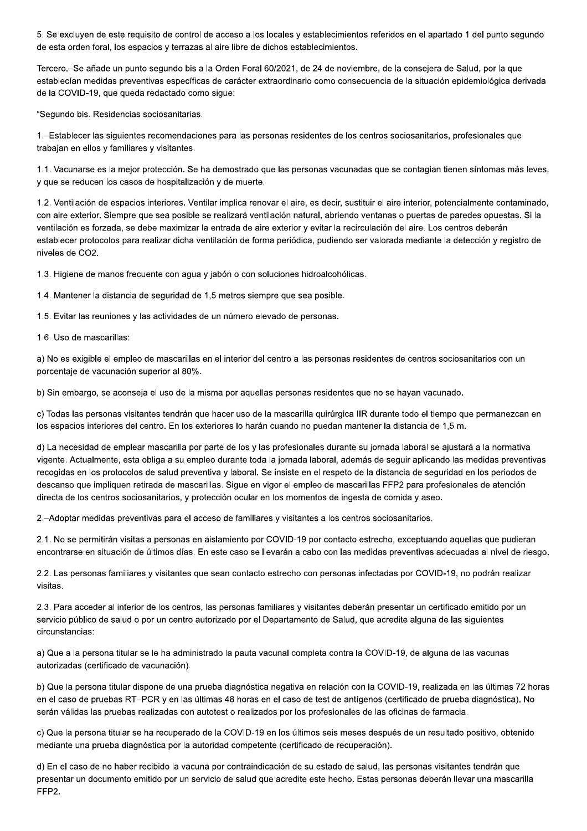5. Se excluyen de este requisito de control de acceso a los locales y establecimientos referidos en el apartado 1 del punto segundo de esta orden foral, los espacios y terrazas al aire libre de dichos establecimientos.

Tercero.-Se añade un punto segundo bis a la Orden Foral 60/2021, de 24 de noviembre, de la consejera de Salud, por la que establecían medidas preventivas específicas de carácter extraordinario como consecuencia de la situación epidemiológica derivada de la COVID-19, que queda redactado como sigue:

"Segundo bis. Residencias sociosanitarias.

1.-Establecer las siguientes recomendaciones para las personas residentes de los centros sociosanitarios, profesionales que trabajan en ellos y familiares y visitantes.

1.1. Vacunarse es la mejor protección. Se ha demostrado que las personas vacunadas que se contagian tienen síntomas más leves, y que se reducen los casos de hospitalización y de muerte.

1.2. Ventilación de espacios interiores. Ventilar implica renovar el aire, es decir, sustituir el aire interior, potencialmente contaminado, con aire exterior. Siempre que sea posible se realizará ventilación natural, abriendo ventanas o puertas de paredes opuestas. Si la ventilación es forzada, se debe maximizar la entrada de aire exterior y evitar la recirculación del aire. Los centros deberán establecer protocolos para realizar dicha ventilación de forma periódica, pudiendo ser valorada mediante la detección y registro de niveles de CO2.

1.3. Higiene de manos frecuente con agua y jabón o con soluciones hidroalcohólicas.

1.4. Mantener la distancia de seguridad de 1,5 metros siempre que sea posible.

1.5. Evitar las reuniones y las actividades de un número elevado de personas.

1.6. Uso de mascarillas:

a) No es exigible el empleo de mascarillas en el interior del centro a las personas residentes de centros sociosanitarios con un porcentaje de vacunación superior al 80%.

b) Sin embargo, se aconseja el uso de la misma por aquellas personas residentes que no se hayan vacunado.

c) Todas las personas visitantes tendrán que hacer uso de la mascarilla quirúrgica IIR durante todo el tiempo que permanezcan en los espacios interiores del centro. En los exteriores lo harán cuando no puedan mantener la distancia de 1,5 m.

d) La necesidad de emplear mascarilla por parte de los y las profesionales durante su jornada laboral se ajustará a la normativa vigente. Actualmente, esta obliga a su empleo durante toda la jornada laboral, además de seguir aplicando las medidas preventivas recogidas en los protocolos de salud preventiva y laboral. Se insiste en el respeto de la distancia de seguridad en los periodos de descanso que impliquen retirada de mascarillas. Sique en vigor el empleo de mascarillas FFP2 para profesionales de atención directa de los centros sociosanitarios, y protección ocular en los momentos de ingesta de comida y aseo.

2.–Adoptar medidas preventivas para el acceso de familiares y visitantes a los centros sociosanitarios.

2.1. No se permitirán visitas a personas en aislamiento por COVID-19 por contacto estrecho, exceptuando aquellas que pudieran encontrarse en situación de últimos días. En este caso se llevarán a cabo con las medidas preventivas adecuadas al nivel de riesgo.

2.2. Las personas familiares y visitantes que sean contacto estrecho con personas infectadas por COVID-19, no podrán realizar visitas.

2.3. Para acceder al interior de los centros, las personas familiares y visitantes deberán presentar un certificado emitido por un servicio público de salud o por un centro autorizado por el Departamento de Salud, que acredite alguna de las siguientes circunstancias:

a) Que a la persona titular se le ha administrado la pauta vacunal completa contra la COVID-19, de alguna de las vacunas autorizadas (certificado de vacunación).

b) Que la persona titular dispone de una prueba diagnóstica negativa en relación con la COVID-19, realizada en las últimas 72 horas en el caso de pruebas RT-PCR y en las últimas 48 horas en el caso de test de antígenos (certificado de prueba diagnóstica). No serán válidas las pruebas realizadas con autotest o realizados por los profesionales de las oficinas de farmacia.

c) Que la persona titular se ha recuperado de la COVID-19 en los últimos seis meses después de un resultado positivo, obtenido mediante una prueba diagnóstica por la autoridad competente (certificado de recuperación).

d) En el caso de no haber recibido la vacuna por contraindicación de su estado de salud, las personas visitantes tendrán que presentar un documento emitido por un servicio de salud que acredite este hecho. Estas personas deberán llevar una mascarilla FFP2.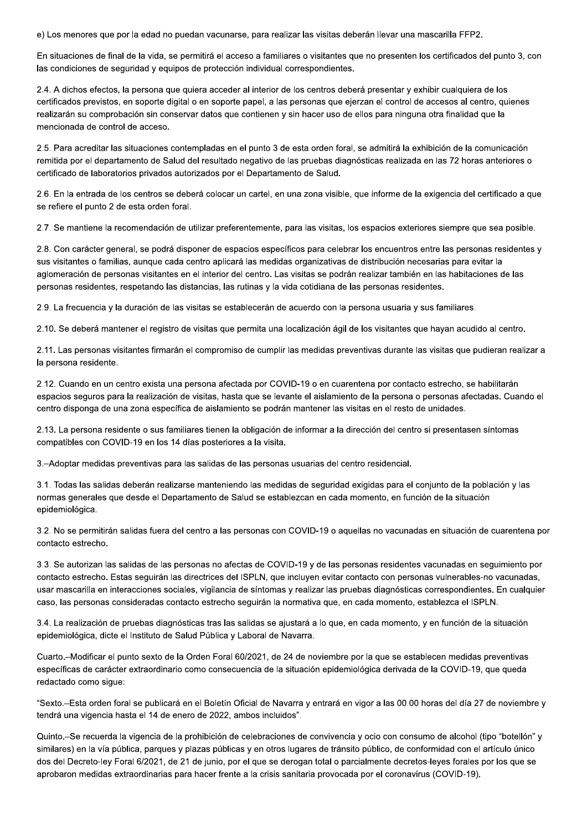e) Los menores que por la edad no puedan vacunarse, para realizar las visitas deberán llevar una mascarilla FFP2.

En situaciones de final de la vida, se permitirá el acceso a familiares o visitantes que no presenten los certificados del punto 3, con las condiciones de seguridad y equipos de protección individual correspondientes.

2.4. A dichos efectos, la persona que quiera acceder al interior de los centros deberá presentar y exhibir cualquiera de los certificados previstos, en soporte digital o en soporte papel, a las personas que ejerzan el control de accesos al centro, quienes realizarán su comprobación sin conservar datos que contienen y sin hacer uso de ellos para ninguna otra finalidad que la mencionada de control de acceso.

2.5. Para acreditar las situaciones contempladas en el punto 3 de esta orden foral, se admitirá la exhibición de la comunicación remitida por el departamento de Salud del resultado negativo de las pruebas diagnósticas realizada en las 72 horas anteriores o certificado de laboratorios privados autorizados por el Departamento de Salud.

2.6. En la entrada de los centros se deberá colocar un cartel, en una zona visible, que informe de la exigencia del certificado a que se refiere el punto 2 de esta orden foral.

2.7. Se mantiene la recomendación de utilizar preferentemente, para las visitas, los espacios exteriores siempre que sea posible.

2.8. Con carácter general, se podrá disponer de espacios específicos para celebrar los encuentros entre las personas residentes y sus visitantes o familias, aunque cada centro aplicará las medidas organizativas de distribución necesarias para evitar la aglomeración de personas visitantes en el interior del centro. Las visitas se podrán realizar también en las habitaciones de las personas residentes, respetando las distancias, las rutinas y la vida cotidiana de las personas residentes.

2.9. La frecuencia y la duración de las visitas se establecerán de acuerdo con la persona usuaria y sus familiares.

2.10. Se deberá mantener el registro de visitas que permita una localización ágil de los visitantes que hayan acudido al centro.

2.11. Las personas visitantes firmarán el compromiso de cumplir las medidas preventivas durante las visitas que pudieran realizar a la persona residente.

2.12. Cuando en un centro exista una persona afectada por COVID-19 o en cuarentena por contacto estrecho, se habilitarán espacios seguros para la realización de visitas, hasta que se levante el aislamiento de la persona o personas afectadas. Cuando el centro disponga de una zona específica de aislamiento se podrán mantener las visitas en el resto de unidades.

2.13. La persona residente o sus familiares tienen la obligación de informar a la dirección del centro si presentasen síntomas compatibles con COVID-19 en los 14 días posteriores a la visita.

3.–Adoptar medidas preventivas para las salidas de las personas usuarias del centro residencial.

3.1. Todas las salidas deberán realizarse manteniendo las medidas de seguridad exigidas para el conjunto de la población y las normas generales que desde el Departamento de Salud se establezcan en cada momento, en función de la situación epidemiológica.

3.2. No se permitirán salidas fuera del centro a las personas con COVID-19 o aquellas no vacunadas en situación de cuarentena por contacto estrecho.

3.3. Se autorizan las salidas de las personas no afectas de COVID-19 y de las personas residentes vacunadas en seguimiento por contacto estrecho. Estas seguirán las directrices del ISPLN, que incluyen evitar contacto con personas vulnerables-no vacunadas, usar mascarilla en interacciones sociales, vigilancia de síntomas y realizar las pruebas diagnósticas correspondientes. En cualquier caso, las personas consideradas contacto estrecho seguirán la normativa que, en cada momento, establezca el ISPLN.

3.4. La realización de pruebas diagnósticas tras las salidas se ajustará a lo que, en cada momento, y en función de la situación epidemiológica, dicte el Instituto de Salud Pública y Laboral de Navarra.

Cuarto.-Modificar el punto sexto de la Orden Foral 60/2021, de 24 de noviembre por la que se establecen medidas preventivas específicas de carácter extraordinario como consecuencia de la situación epidemiológica derivada de la COVID-19, que queda redactado como sigue:

"Sexto.-Esta orden foral se publicará en el Boletín Oficial de Navarra y entrará en vigor a las 00.00 horas del día 27 de noviembre y tendrá una vigencia hasta el 14 de enero de 2022, ambos incluidos".

Quinto.-Se recuerda la vigencia de la prohibición de celebraciones de convivencia y ocio con consumo de alcohol (tipo "botellón" y similares) en la vía pública, parques y plazas públicas y en otros lugares de tránsito público, de conformidad con el artículo único dos del Decreto-ley Foral 6/2021, de 21 de junio, por el que se derogan total o parcialmente decretos-leyes forales por los que se aprobaron medidas extraordinarias para hacer frente a la crisis sanitaria provocada por el coronavirus (COVID-19).